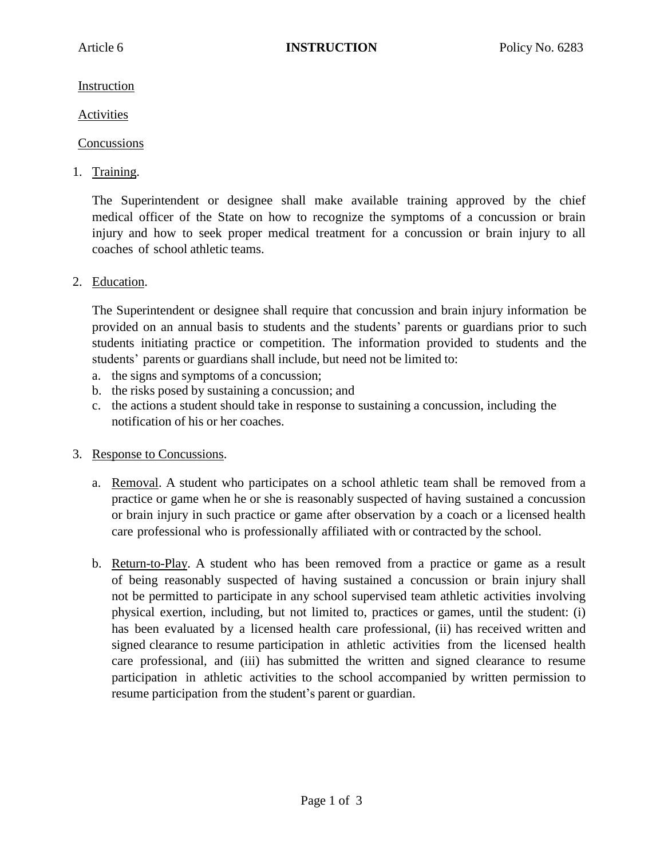Instruction

Activities

## Concussions

1. Training.

The Superintendent or designee shall make available training approved by the chief medical officer of the State on how to recognize the symptoms of a concussion or brain injury and how to seek proper medical treatment for a concussion or brain injury to all coaches of school athletic teams.

2. Education.

The Superintendent or designee shall require that concussion and brain injury information be provided on an annual basis to students and the students' parents or guardians prior to such students initiating practice or competition. The information provided to students and the students' parents or guardians shall include, but need not be limited to:

- a. the signs and symptoms of a concussion;
- b. the risks posed by sustaining a concussion; and
- c. the actions a student should take in response to sustaining a concussion, including the notification of his or her coaches.
- 3. Response to Concussions.
	- a. Removal. A student who participates on a school athletic team shall be removed from a practice or game when he or she is reasonably suspected of having sustained a concussion or brain injury in such practice or game after observation by a coach or a licensed health care professional who is professionally affiliated with or contracted by the school.
	- b. Return-to-Play. A student who has been removed from a practice or game as a result of being reasonably suspected of having sustained a concussion or brain injury shall not be permitted to participate in any school supervised team athletic activities involving physical exertion, including, but not limited to, practices or games, until the student: (i) has been evaluated by a licensed health care professional, (ii) has received written and signed clearance to resume participation in athletic activities from the licensed health care professional, and (iii) has submitted the written and signed clearance to resume participation in athletic activities to the school accompanied by written permission to resume participation from the student's parent or guardian.